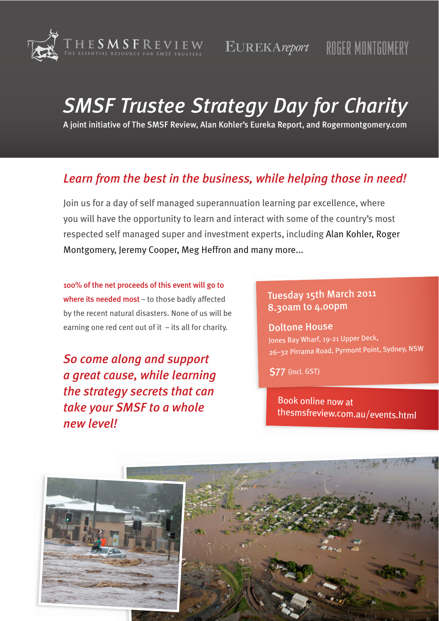

# **SMSF Trustee Strategy Day for Charity**

A joint initiative of The SMSF Review, Alan Kohler's Eureka Report, and Rogermontgomery.com

# Learn from the best in the business, while helping those in need!

Join us for a day of self managed superannuation learning par excellence, where you will have the opportunity to learn and interact with some of the country's most respected self managed super and investment experts, including Alan Kohler, Roger Montgomery, Jeremy Cooper, Meg Heffron and many more...

100% of the net proceeds of this event will go to where its needed most - to those badly affected by the recent natural disasters. None of us will be earning one red cent out of it  $-$  its all for charity.

So come along and support a great cause, while learning the strategy secrets that can take your SMSF to a whole new level!

# Tuesday 15th March 2011 8.30am to 4.00pm

**Doltone House** Jones Bay Wharf, 19-21 Upper Deck, 26-32 Pirrama Road, Pyrmont Point, Sydney, NSW

**\$77** (incl. GST)

**Book online now at** thesmsfreview.com.au/events.html

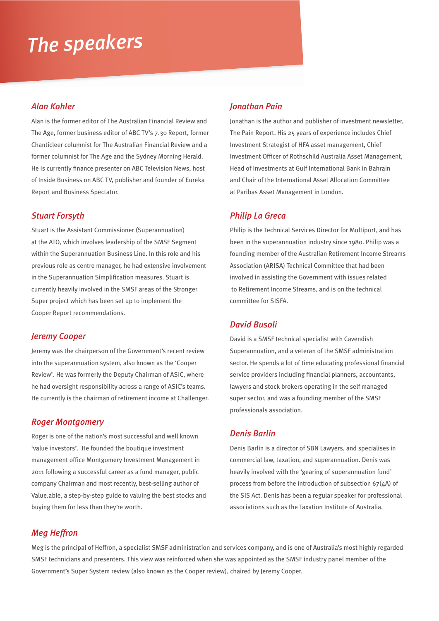# The speakers

### **Alan Kohler**

Alan is the former editor of The Australian Financial Review and The Age, former business editor of ABC TV's 7.30 Report, former Chanticleer columnist for The Australian Financial Review and a former columnist for The Age and the Sydney Morning Herald. He is currently finance presenter on ABC Television News, host of Inside Business on ABC TV, publisher and founder of Eureka **Report and Business Spectator.** 

### **Stuart Forsyth**

Stuart is the Assistant Commissioner (Superannuation) at the ATO, which involves leadership of the SMSF Segment within the Superannuation Business Line. In this role and his previous role as centre manager, he had extensive involvement in the Superannuation Simplification measures. Stuart is currently heavily involved in the SMSF areas of the Stronger Super project which has been set up to implement the Cooper Report recommendations.

### **Jeremy Cooper**

Jeremy was the chairperson of the Government's recent review into the superannuation system, also known as the 'Cooper Review'. He was formerly the Deputy Chairman of ASIC, where he had oversight responsibility across a range of ASIC's teams. He currently is the chairman of retirement income at Challenger.

### **Roger Montgomery**

Roger is one of the nation's most successful and well known 'value investors'. He founded the boutique investment management office Montgomery Investment Management in 2011 following a successful career as a fund manager, public company Chairman and most recently, best-selling author of Value.able, a step-by-step guide to valuing the best stocks and buying them for less than they're worth.

## **Ionathan Pain**

Jonathan is the author and publisher of investment newsletter, The Pain Report. His 25 years of experience includes Chief Investment Strategist of HFA asset management, Chief Investment Officer of Rothschild Australia Asset Management, Head of Investments at Gulf International Bank in Bahrain and Chair of the International Asset Allocation Committee at Paribas Asset Management in London.

### **Philip La Greca**

Philip is the Technical Services Director for Multiport, and has been in the superannuation industry since 1980. Philip was a founding member of the Australian Retirement Income Streams Association (ARISA) Technical Committee that had been involved in assisting the Government with issues related to Retirement Income Streams, and is on the technical committee for SISFA.

### **David Busoli**

David is a SMSF technical specialist with Cavendish Superannuation, and a veteran of the SMSF administration sector. He spends a lot of time educating professional financial service providers including financial planners, accountants, lawyers and stock brokers operating in the self managed super sector, and was a founding member of the SMSF professionals association.

### **Denis Barlin**

Denis Barlin is a director of SBN Lawyers, and specialises in commercial law, taxation, and superannuation. Denis was heavily involved with the 'gearing of superannuation fund' process from before the introduction of subsection  $67(4)$  of the SIS Act. Denis has been a regular speaker for professional associations such as the Taxation Institute of Australia.

## **Meg Heffron**

Meg is the principal of Heffron, a specialist SMSF administration and services company, and is one of Australia's most highly regarded SMSF technicians and presenters. This view was reinforced when she was appointed as the SMSF industry panel member of the Government's Super System review (also known as the Cooper review), chaired by Jeremy Cooper.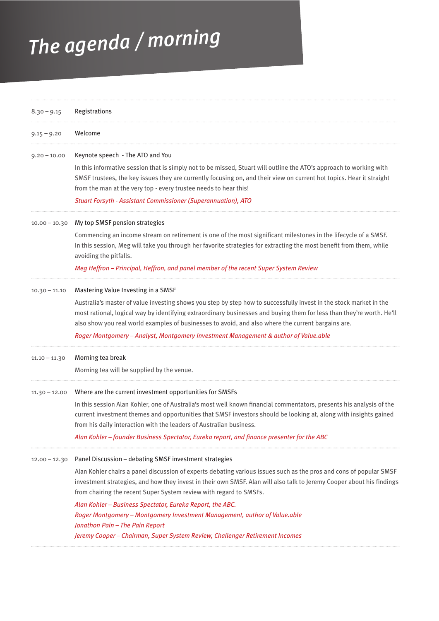# The agenda / morning

| $8.30 - 9.15$   | Registrations                                                                                                                                                                                                                                                                                                                                                                                                                                                                   |
|-----------------|---------------------------------------------------------------------------------------------------------------------------------------------------------------------------------------------------------------------------------------------------------------------------------------------------------------------------------------------------------------------------------------------------------------------------------------------------------------------------------|
| $9.15 - 9.20$   | Welcome                                                                                                                                                                                                                                                                                                                                                                                                                                                                         |
| $9.20 - 10.00$  | Keynote speech - The ATO and You                                                                                                                                                                                                                                                                                                                                                                                                                                                |
|                 | In this informative session that is simply not to be missed, Stuart will outline the ATO's approach to working with<br>SMSF trustees, the key issues they are currently focusing on, and their view on current hot topics. Hear it straight<br>from the man at the very top - every trustee needs to hear this!                                                                                                                                                                 |
|                 | <b>Stuart Forsyth - Assistant Commissioner (Superannuation), ATO</b>                                                                                                                                                                                                                                                                                                                                                                                                            |
| $10.00 - 10.30$ | My top SMSF pension strategies                                                                                                                                                                                                                                                                                                                                                                                                                                                  |
|                 | Commencing an income stream on retirement is one of the most significant milestones in the lifecycle of a SMSF.<br>In this session, Meg will take you through her favorite strategies for extracting the most benefit from them, while<br>avoiding the pitfalls.<br>Meg Heffron - Principal, Heffron, and panel member of the recent Super System Review                                                                                                                        |
| $10.30 - 11.10$ | Mastering Value Investing in a SMSF<br>Australia's master of value investing shows you step by step how to successfully invest in the stock market in the<br>most rational, logical way by identifying extraordinary businesses and buying them for less than they're worth. He'll<br>also show you real world examples of businesses to avoid, and also where the current bargains are.<br>Roger Montgomery - Analyst, Montgomery Investment Management & author of Value.able |
| $11.10 - 11.30$ | Morning tea break<br>Morning tea will be supplied by the venue.                                                                                                                                                                                                                                                                                                                                                                                                                 |
| $11.30 - 12.00$ | Where are the current investment opportunities for SMSFs<br>In this session Alan Kohler, one of Australia's most well known financial commentators, presents his analysis of the<br>current investment themes and opportunities that SMSF investors should be looking at, along with insights gained<br>from his daily interaction with the leaders of Australian business.<br>Alan Kohler - founder Business Spectator, Eureka report, and finance presenter for the ABC       |
| $12.00 - 12.30$ | Panel Discussion - debating SMSF investment strategies                                                                                                                                                                                                                                                                                                                                                                                                                          |
|                 | Alan Kohler chairs a panel discussion of experts debating various issues such as the pros and cons of popular SMSF<br>investment strategies, and how they invest in their own SMSF. Alan will also talk to Jeremy Cooper about his findings<br>from chairing the recent Super System review with regard to SMSFs.                                                                                                                                                               |
|                 | Alan Kohler - Business Spectator, Eureka Report, the ABC.<br>Roger Montgomery - Montgomery Investment Management, author of Value.able<br>Jonathon Pain - The Pain Report                                                                                                                                                                                                                                                                                                       |
|                 | Jeremy Cooper - Chairman, Super System Review, Challenger Retirement Incomes                                                                                                                                                                                                                                                                                                                                                                                                    |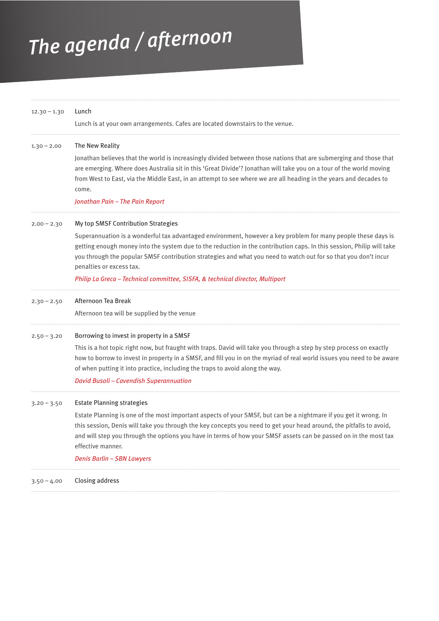# The agenda / afternoon

| $12.30 - 1.30$ | Lunch<br>Lunch is at your own arrangements. Cafes are located downstairs to the venue.                                                                                                                                                                                                                                                                                                                                                                                                                        |
|----------------|---------------------------------------------------------------------------------------------------------------------------------------------------------------------------------------------------------------------------------------------------------------------------------------------------------------------------------------------------------------------------------------------------------------------------------------------------------------------------------------------------------------|
| $1.30 - 2.00$  | The New Reality<br>Jonathan believes that the world is increasingly divided between those nations that are submerging and those that<br>are emerging. Where does Australia sit in this 'Great Divide'? Jonathan will take you on a tour of the world moving<br>from West to East, via the Middle East, in an attempt to see where we are all heading in the years and decades to<br>come.<br>Jonathan Pain - The Pain Report                                                                                  |
| $2.00 - 2.30$  | My top SMSF Contribution Strategies<br>Superannuation is a wonderful tax advantaged environment, however a key problem for many people these days is<br>getting enough money into the system due to the reduction in the contribution caps. In this session, Philip will take<br>you through the popular SMSF contribution strategies and what you need to watch out for so that you don't incur<br>penalties or excess tax.<br>Philip La Greca – Technical committee, SISFA, & technical director, Multiport |
| $2.30 - 2.50$  | Afternoon Tea Break<br>Afternoon tea will be supplied by the venue                                                                                                                                                                                                                                                                                                                                                                                                                                            |
| $2.50 - 3.20$  | Borrowing to invest in property in a SMSF<br>This is a hot topic right now, but fraught with traps. David will take you through a step by step process on exactly<br>how to borrow to invest in property in a SMSF, and fill you in on the myriad of real world issues you need to be aware<br>of when putting it into practice, including the traps to avoid along the way.<br>David Busoli - Cavendish Superannuation                                                                                       |
| $3.20 - 3.50$  | <b>Estate Planning strategies</b><br>Estate Planning is one of the most important aspects of your SMSF, but can be a nightmare if you get it wrong. In<br>this session, Denis will take you through the key concepts you need to get your head around, the pitfalls to avoid,<br>and will step you through the options you have in terms of how your SMSF assets can be passed on in the most tax<br>effective manner.<br><b>Denis Barlin - SBN Lawyers</b>                                                   |
| $3.50 - 4.00$  | Closing address                                                                                                                                                                                                                                                                                                                                                                                                                                                                                               |